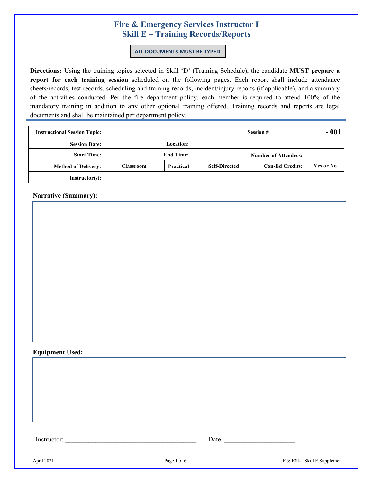#### **ALL DOCUMENTS MUST BE TYPED**

**Directions:** Using the training topics selected in Skill 'D' (Training Schedule), the candidate **MUST prepare a report for each training session** scheduled on the following pages. Each report shall include attendance sheets/records, test records, scheduling and training records, incident/injury reports (if applicable), and a summary of the activities conducted. Per the fire department policy, each member is required to attend 100% of the mandatory training in addition to any other optional training offered. Training records and reports are legal documents and shall be maintained per department policy.

| <b>Instructional Session Topic:</b> |           |                  | <b>Session #</b>     | $-001$                      |           |
|-------------------------------------|-----------|------------------|----------------------|-----------------------------|-----------|
| <b>Session Date:</b>                |           | <b>Location:</b> |                      |                             |           |
| <b>Start Time:</b>                  |           | <b>End Time:</b> |                      | <b>Number of Attendees:</b> |           |
| <b>Method of Delivery:</b>          | Classroom | Practical        | <b>Self-Directed</b> | <b>Con-Ed Credits:</b>      | Yes or No |
| Instructor(s):                      |           |                  |                      |                             |           |

**Narrative (Summary):** 

### **Equipment Used:**

| -<br>Ins<br> | . |
|--------------|---|
|              |   |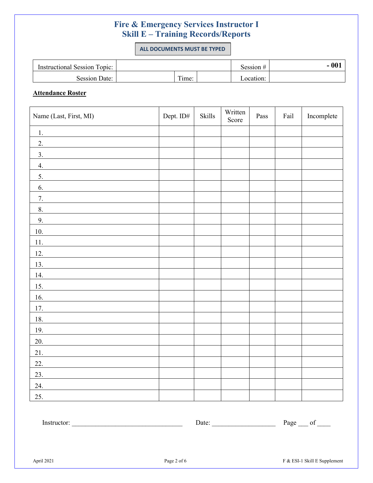**ALL DOCUMENTS MUST BE TYPED**

| <b>Instructional Session Topic:</b> |      | Session # | $-001$ |
|-------------------------------------|------|-----------|--------|
| Session Date:                       | ime: | _ocation: |        |

### **Attendance Roster**

| Name (Last, First, MI) | Dept. ID# | Skills | Written<br>Score | Pass | Fail | Incomplete |
|------------------------|-----------|--------|------------------|------|------|------------|
| 1.                     |           |        |                  |      |      |            |
| $\overline{2}$ .       |           |        |                  |      |      |            |
| 3.                     |           |        |                  |      |      |            |
| 4.                     |           |        |                  |      |      |            |
| $\overline{5}$ .       |           |        |                  |      |      |            |
| 6.                     |           |        |                  |      |      |            |
| 7.                     |           |        |                  |      |      |            |
| 8.                     |           |        |                  |      |      |            |
| 9.                     |           |        |                  |      |      |            |
| 10.                    |           |        |                  |      |      |            |
| 11.                    |           |        |                  |      |      |            |
| <u>12.</u>             |           |        |                  |      |      |            |
| 13.                    |           |        |                  |      |      |            |
| 14.                    |           |        |                  |      |      |            |
| 15.                    |           |        |                  |      |      |            |
| 16.                    |           |        |                  |      |      |            |
| 17.                    |           |        |                  |      |      |            |
| 18.                    |           |        |                  |      |      |            |
| 19.                    |           |        |                  |      |      |            |
| 20.                    |           |        |                  |      |      |            |
| 21.                    |           |        |                  |      |      |            |
| 22.                    |           |        |                  |      |      |            |
| 23.                    |           |        |                  |      |      |            |
| 24.                    |           |        |                  |      |      |            |
| 25.                    |           |        |                  |      |      |            |

| . | -<br>Ω<br>яо |
|---|--------------|
|   |              |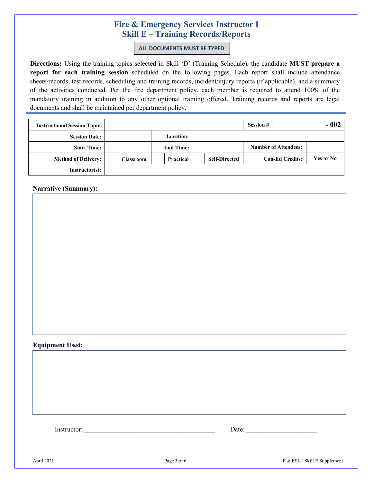**ALL DOCUMENTS MUST BE TYPED**

**Directions:** Using the training topics selected in Skill 'D' (Training Schedule), the candidate **MUST prepare a report for each training session** scheduled on the following pages. Each report shall include attendance sheets/records, test records, scheduling and training records, incident/injury reports (if applicable), and a summary of the activities conducted. Per the fire department policy, each member is required to attend 100% of the mandatory training in addition to any other optional training offered. Training records and reports are legal documents and shall be maintained per department policy.

| <b>Instructional Session Topic:</b> |                  |                  | <b>Session #</b>     | - 002                       |           |
|-------------------------------------|------------------|------------------|----------------------|-----------------------------|-----------|
| <b>Session Date:</b>                |                  | <b>Location:</b> |                      |                             |           |
| <b>Start Time:</b>                  |                  | <b>End Time:</b> |                      | <b>Number of Attendees:</b> |           |
| <b>Method of Delivery:</b>          | <b>Classroom</b> | Practical        | <b>Self-Directed</b> | <b>Con-Ed Credits:</b>      | Yes or No |
| <b>Instructor(s):</b>               |                  |                  |                      |                             |           |

**Narrative (Summary):** 

### **Equipment Used:**

Instructor: \_\_\_\_\_\_\_\_\_\_\_\_\_\_\_\_\_\_\_\_\_\_\_\_\_\_\_\_\_\_\_\_\_\_\_\_\_\_\_ Date: \_\_\_\_\_\_\_\_\_\_\_\_\_\_\_\_\_\_\_\_\_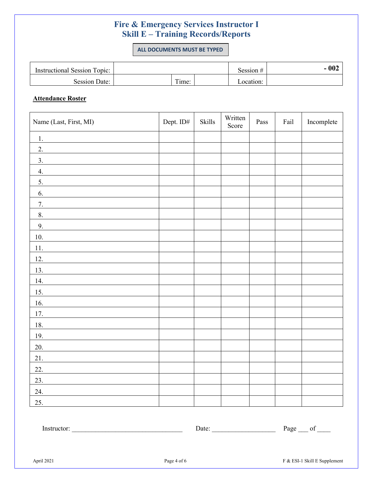**ALL DOCUMENTS MUST BE TYPED**

| <b>Instructional Session Topic:</b> |  |               |  | Session $#$ | 002 |
|-------------------------------------|--|---------------|--|-------------|-----|
| Session Date:                       |  | m.<br>$1me$ : |  | ocation:_   |     |

### **Attendance Roster**

| Name (Last, First, MI) | Dept. ID# | Skills | Written<br>Score | Pass | Fail | Incomplete |
|------------------------|-----------|--------|------------------|------|------|------------|
| 1.                     |           |        |                  |      |      |            |
| $\overline{2}$ .       |           |        |                  |      |      |            |
| $\overline{3}$ .       |           |        |                  |      |      |            |
| 4.                     |           |        |                  |      |      |            |
| 5.                     |           |        |                  |      |      |            |
| 6.                     |           |        |                  |      |      |            |
| $7. \,$                |           |        |                  |      |      |            |
| 8.                     |           |        |                  |      |      |            |
| 9.                     |           |        |                  |      |      |            |
| $10. \,$               |           |        |                  |      |      |            |
| 11.                    |           |        |                  |      |      |            |
| 12.                    |           |        |                  |      |      |            |
| 13.                    |           |        |                  |      |      |            |
| 14.                    |           |        |                  |      |      |            |
| 15.                    |           |        |                  |      |      |            |
| 16.                    |           |        |                  |      |      |            |
| 17.                    |           |        |                  |      |      |            |
| 18.                    |           |        |                  |      |      |            |
| 19.                    |           |        |                  |      |      |            |
| 20.                    |           |        |                  |      |      |            |
| 21.                    |           |        |                  |      |      |            |
| 22.                    |           |        |                  |      |      |            |
| 23.                    |           |        |                  |      |      |            |
| 24.                    |           |        |                  |      |      |            |
| 25.                    |           |        |                  |      |      |            |

Instructor: \_\_\_\_\_\_\_\_\_\_\_\_\_\_\_\_\_\_\_\_\_\_\_\_\_\_\_\_\_\_\_\_\_ Date: \_\_\_\_\_\_\_\_\_\_\_\_\_\_\_\_\_\_\_ Page \_\_\_ of \_\_\_\_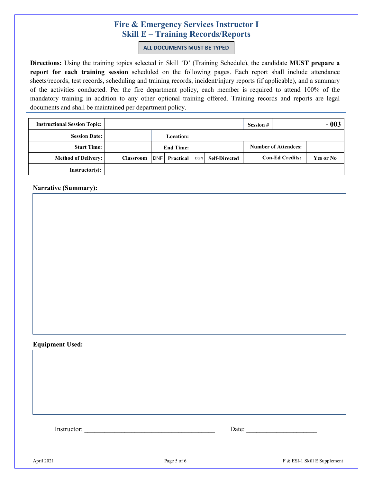**ALL DOCUMENTS MUST BE TYPED**

**Directions:** Using the training topics selected in Skill 'D' (Training Schedule), the candidate **MUST prepare a report for each training session** scheduled on the following pages. Each report shall include attendance sheets/records, test records, scheduling and training records, incident/injury reports (if applicable), and a summary of the activities conducted. Per the fire department policy, each member is required to attend 100% of the mandatory training in addition to any other optional training offered. Training records and reports are legal documents and shall be maintained per department policy.

| <b>Instructional Session Topic:</b> |           |  |            |                  |            | <b>Session #</b>     |  | $-003$                      |           |
|-------------------------------------|-----------|--|------------|------------------|------------|----------------------|--|-----------------------------|-----------|
| <b>Session Date:</b>                |           |  |            | <b>Location:</b> |            |                      |  |                             |           |
| <b>Start Time:</b>                  |           |  |            | <b>End Time:</b> |            |                      |  | <b>Number of Attendees:</b> |           |
| <b>Method of Delivery:</b>          | Classroom |  | <b>DNF</b> | Practical        | <b>DGN</b> | <b>Self-Directed</b> |  | <b>Con-Ed Credits:</b>      | Yes or No |
| Instructor(s):                      |           |  |            |                  |            |                      |  |                             |           |

**Narrative (Summary):** 

#### **Equipment Used:**

Instructor: \_\_\_\_\_\_\_\_\_\_\_\_\_\_\_\_\_\_\_\_\_\_\_\_\_\_\_\_\_\_\_\_\_\_\_\_\_\_\_ Date: \_\_\_\_\_\_\_\_\_\_\_\_\_\_\_\_\_\_\_\_\_